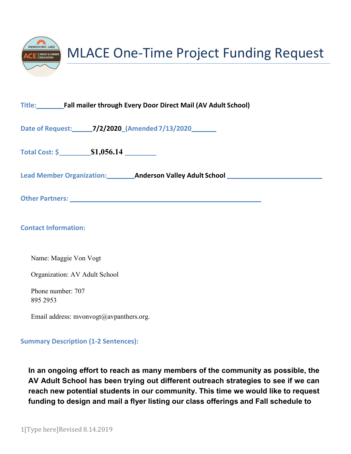

**Date of Request: 7/2/2020\_(Amended7/13/2020**

**Total Cost: \$ \$1,056.14**

**Lead Member Organization: Anderson Valley Adult School**

**Other Partners:**

**Contact Information:**

Name: Maggie Von Vogt

Organization: AV Adult School

Phone number: 707 895 2953

[Email address: mvonvogt@avpanthers.org.](mailto:mvonvogt@avpanthers.org)

## **Summary Description (1-2 Sentences):**

**In an ongoing effort to reach as many members of the community as possible, the AV Adult School has been trying out different outreach strategies to see if we can reach new potential students in our community. This time we would like to request funding to design and mail a flyer listing our class offerings and Fall schedule to**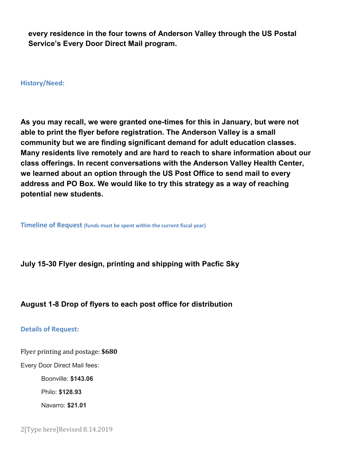**every residence in the four towns of Anderson Valley through the US Postal Service's Every Door Direct Mail program.**

**History/Need:**

**As you may recall, we were granted one-times for this in January, but were not able to print the flyer before registration. The Anderson Valley is a small community but we are finding significant demand for adult education classes. Many residents live remotely and are hard to reach to share information about our class offerings. In recent conversations with the Anderson Valley Health Center, we learned about an option through the US Post Office to send mail to every address and PO Box. We would like to try this strategy as a way of reaching potential new students.**

**Timeline of Request (funds must be spent within the current fiscal year)**

**July 15-30 Flyer design, printing and shipping with Pacfic Sky**

## **August 1-8 Drop of flyers to each post office for distribution**

## **Details of Request:**

Flyer printing and postage: **\$680**

Every Door Direct Mail fees:

Boonville: **\$143.06** 

Philo: **\$128.93** 

Navarro: **\$21.01**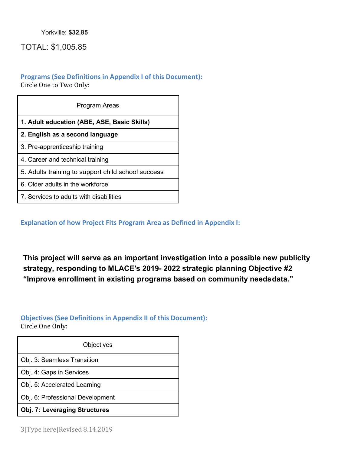Yorkville: **\$32.85**

TOTAL: \$1,005.85

## **Programs (See Definitions in Appendix I of this Document):**

Circle One to Two Only:

| Program Areas                                      |  |  |  |
|----------------------------------------------------|--|--|--|
| 1. Adult education (ABE, ASE, Basic Skills)        |  |  |  |
| 2. English as a second language                    |  |  |  |
| 3. Pre-apprenticeship training                     |  |  |  |
| 4. Career and technical training                   |  |  |  |
| 5. Adults training to support child school success |  |  |  |
| 6. Older adults in the workforce                   |  |  |  |
| 7. Services to adults with disabilities            |  |  |  |

**Explanation of how Project Fits Program Area as Defined in Appendix I:**

**This project will serve as an important investigation into a possible new publicity strategy, responding to MLACE's 2019- 2022 strategic planning Objective #2 "Improve enrollment in existing programs based on community needsdata."**

## **Objectives (See Definitions in Appendix II of this Document):**

Circle One Only:

| Objectives                           |  |
|--------------------------------------|--|
| Obj. 3: Seamless Transition          |  |
| Obj. 4: Gaps in Services             |  |
| Obj. 5: Accelerated Learning         |  |
| Obj. 6: Professional Development     |  |
| <b>Obj. 7: Leveraging Structures</b> |  |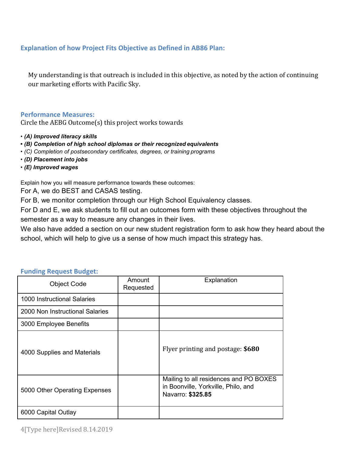## **Explanation of how Project Fits Objective as Defined in AB86 Plan:**

My understanding is that outreach is included in this objective, as noted by the action of continuing our marketing efforts with Pacific Sky.

#### **Performance Measures:**

Circle the AEBG Outcome(s) this project works towards

- *(A) Improved literacy skills*
- **•** *(B) Completion of high school diplomas or their recognized equivalents*
- *(C) Completion of postsecondary certificates, degrees, or training programs*
- *(D) Placement into jobs*
- *(E) Improved wages*

Explain how you will measure performance towards these outcomes:

For A, we do BEST and CASAS testing.

For B, we monitor completion through our High School Equivalency classes.

For D and E, we ask students to fill out an outcomes form with these objectives throughout the semester as a way to measure any changes in their lives.

We also have added a section on our new student registration form to ask how they heard about the school, which will help to give us a sense of how much impact this strategy has.

| <b>Object Code</b>              | Amount<br>Requested | Explanation                                                                                        |
|---------------------------------|---------------------|----------------------------------------------------------------------------------------------------|
| 1000 Instructional Salaries     |                     |                                                                                                    |
| 2000 Non Instructional Salaries |                     |                                                                                                    |
| 3000 Employee Benefits          |                     |                                                                                                    |
| 4000 Supplies and Materials     |                     | Flyer printing and postage: \$680                                                                  |
| 5000 Other Operating Expenses   |                     | Mailing to all residences and PO BOXES<br>in Boonville, Yorkville, Philo, and<br>Navarro: \$325.85 |
| 6000 Capital Outlay             |                     |                                                                                                    |

#### **Funding Request Budget:**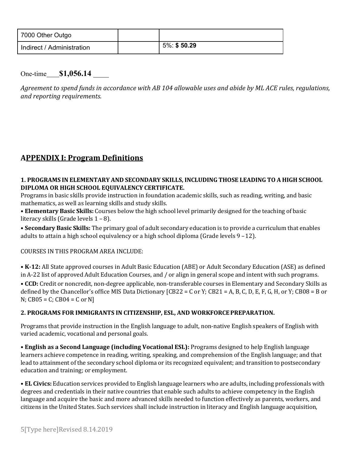| 7000 Other Outgo          |             |
|---------------------------|-------------|
| Indirect / Administration | 5%: \$50.29 |

One-time **\$1,056.14**

*Agreement to spend funds in accordance with AB 104 allowable uses and abide by ML ACE rules, regulations, and reporting requirements.*

# **APPENDIX I: Program Definitions**

## **1. PROGRAMS IN ELEMENTARY AND SECONDARY SKILLS, INCLUDING THOSE LEADING TO A HIGH SCHOOL DIPLOMA OR HIGH SCHOOL EQUIVALENCY CERTIFICATE.**

Programs in basic skills provide instruction in foundation academic skills, such as reading, writing, and basic mathematics, as well as learning skills and study skills.

• **Elementary Basic Skills:** Courses below the high school level primarily designed for the teaching of basic literacy skills (Grade levels 1 – 8).

• **Secondary Basic Skills:** The primary goal of adult secondary education is to provide a curriculum that enables adults to attain a high school equivalency or a high school diploma (Grade levels 9 –12).

## COURSES IN THIS PROGRAM AREA INCLUDE:

• **K-12:** All State approved courses in Adult Basic Education (ABE) or Adult Secondary Education (ASE) as defined in A-22 list of approved Adult Education Courses, and / or align in general scope and intent with such programs. • **CCD:** Credit or noncredit, non-degree applicable, non-transferable courses in Elementary and Secondary Skills as defined by the Chancellor's office MIS Data Dictionary  $[CB22 = C$  or Y;  $CB21 = A, B, C, D, E, F, G, H, or Y; CB08 = B$  or  $N$ ; CB05 = C; CB04 = C or N]

## **2. PROGRAMS FOR IMMIGRANTS IN CITIZENSHIP, ESL, AND WORKFORCEPREPARATION.**

Programs that provide instruction in the English language to adult, non-native English speakers of English with varied academic, vocational and personal goals.

• **English as a Second Language (including Vocational ESL):** Programs designed to help English language learners achieve competence in reading, writing, speaking, and comprehension of the English language; and that lead to attainment of the secondary school diploma or its recognized equivalent; and transition to postsecondary education and training; or employment.

• **EL Civics:** Education services provided to English language learners who are adults, including professionals with degrees and credentials in their native countries that enable such adults to achieve competency in the English language and acquire the basic and more advanced skills needed to function effectively as parents, workers, and citizens in the United States. Such services shall include instruction in literacy and English language acquisition,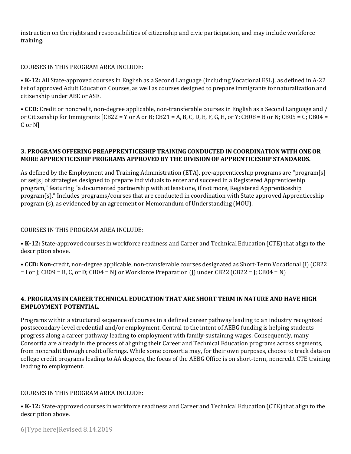instruction on the rights and responsibilities of citizenship and civic participation, and may include workforce training.

#### COURSES IN THIS PROGRAM AREA INCLUDE:

• **K-12:** All State-approved courses in English as a Second Language (including Vocational ESL), as defined in A-22 list of approved Adult Education Courses, as well as courses designed to prepare immigrants for naturalization and citizenship under ABE or ASE.

• **CCD:** Credit or noncredit, non-degree applicable, non-transferable courses in English as a Second Language and / or Citizenship for Immigrants  $[CB22 = Y$  or A or B;  $CB21 = A$ , B, C, D, E, F, G, H, or Y; CB08 = B or N; CB05 = C; CB04 = C or N]

#### **3. PROGRAMS OFFERING PREAPPRENTICESHIP TRAINING CONDUCTED IN COORDINATION WITH ONE OR MORE APPRENTICESHIP PROGRAMS APPROVED BY THE DIVISION OF APPRENTICESHIP STANDARDS.**

As defined by the Employment and Training Administration (ETA), pre-apprenticeship programs are "program[s] or set[s] of strategies designed to prepare individuals to enter and succeed in a Registered Apprenticeship program," featuring "a documented partnership with at least one, if not more, Registered Apprenticeship program(s)." Includes programs/courses that are conducted in coordination with State approved Apprenticeship program (s), as evidenced by an agreement or Memorandum of Understanding (MOU).

#### COURSES IN THIS PROGRAM AREA INCLUDE:

• K-12: State-approved courses in workforce readiness and Career and Technical Education (CTE) that align to the description above.

• **CCD: Non**-credit, non-degree applicable, non-transferable courses designated as Short-Term Vocational(I)(CB22  $=$  I or J; CB09 = B, C, or D; CB04 = N) or Workforce Preparation (J) under CB22 (CB22 = J; CB04 = N)

#### **4. PROGRAMS IN CAREER TECHNICAL EDUCATION THAT ARE SHORT TERM IN NATURE AND HAVE HIGH EMPLOYMENT POTENTIAL.**

Programs within a structured sequence of courses in a defined career pathway leading to an industry recognized postsecondary-level credential and/or employment. Central to the intent of AEBG funding is helping students progress along a career pathway leading to employment with family-sustaining wages. Consequently, many Consortia are already in the process of aligning their Career and Technical Education programs across segments, from noncredit through credit offerings. While some consortia may, for their own purposes, choose to track data on college credit programs leading to AA degrees, the focus of the AEBG Office is on short-term, noncredit CTE training leading to employment.

#### COURSES IN THIS PROGRAM AREA INCLUDE:

• K-12: State-approved courses in workforce readiness and Career and Technical Education (CTE) that align to the description above.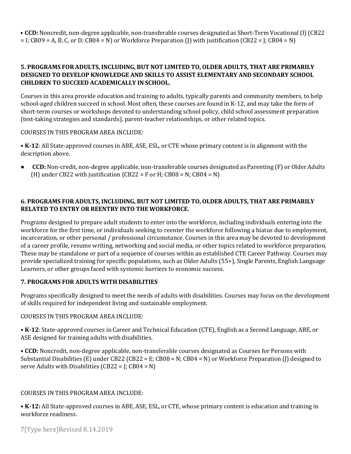• **CCD:** Noncredit, non-degree applicable, non-transferable courses designated as Short-Term Vocational(I)(CB22  $=$  I; CB09 = A, B, C, or D; CB04 = N) or Workforce Preparation (I) with justification (CB22 = I; CB04 = N)

#### **5. PROGRAMS FOR ADULTS, INCLUDING, BUT NOT LIMITED TO, OLDER ADULTS, THAT ARE PRIMARILY DESIGNED TO DEVELOP KNOWLEDGE AND SKILLS TO ASSIST ELEMENTARY AND SECONDARY SCHOOL CHILDREN TO SUCCEED ACADEMICALLY IN SCHOOL.**

Courses in this area provide education and training to adults, typically parents and community members, to help school-aged children succeed in school. Most often, these courses are found in K-12, and may take the form of short-term courses or workshops devoted to understanding school policy, child school assessment preparation (test-taking strategies and standards), parent-teacher relationships, or other related topics.

#### COURSES IN THIS PROGRAM AREA INCLUDE:

• **K-12**: All State-approved courses in ABE, ASE, ESL, or CTE whose primary content is in alignment with the description above.

● **CCD:** Non-credit, non-degree applicable, non-transferable courses designated as Parenting (F) or Older Adults (H) under CB22 with justification (CB22 = F or H; CB08 = N; CB04 = N)

#### **6. PROGRAMS FOR ADULTS, INCLUDING, BUT NOT LIMITED TO, OLDER ADULTS, THAT ARE PRIMARILY RELATED TO ENTRY OR REENTRY INTO THE WORKFORCE.**

Programs designed to prepare adult students to enter into the workforce, including individuals entering into the workforce for the first time, or individuals seeking to reenter the workforce following a hiatus due to employment, incarceration, or other personal / professional circumstance. Courses in this area may be devoted to development of a career profile, resume writing, networking and social media, or other topics related to workforce preparation. These may be standalone or part of a sequence of courses within an established CTE Career Pathway. Courses may provide specialized training for specific populations, such as Older Adults (55+), Single Parents, English Language Learners, or other groups faced with systemic barriers to economic success.

## **7. PROGRAMS FOR ADULTS WITH DISABILITIES**

Programs specifically designed to meet the needs of adults with disabilities. Courses may focus on the development of skills required for independent living and sustainable employment.

#### COURSES IN THIS PROGRAM AREA INCLUDE:

• **K-12**: State-approved courses in Career and Technical Education (CTE), English as a Second Language, ABE, or ASE designed for training adults with disabilities.

• **CCD:** Noncredit, non-degree applicable, non-transferable courses designated as Courses for Persons with Substantial Disabilities (E) under CB22 (CB22 = E; CB08 = N; CB04 = N) or Workforce Preparation (J) designed to serve Adults with Disabilities  $(CB22 = I; CB04 = N)$ 

#### COURSES IN THIS PROGRAM AREA INCLUDE:

• **K-12:** All State-approved courses in ABE, ASE, ESL, or CTE, whose primary content is education and training in workforce readiness.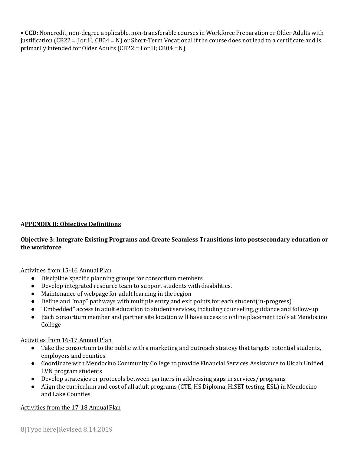• **CCD:** Noncredit, non-degree applicable, non-transferable courses in Workforce Preparation or Older Adults with justification (CB22 = J or H; CB04 = N) or Short-Term Vocational if the course does not lead to a certificate and is primarily intended for Older Adults (CB22 = I or H; CB04 =N)

#### **APPENDIX II: Objective Definitions**

#### **Objective 3: Integrate Existing Programs and Create Seamless Transitions into postsecondary education or the workforce**

#### Activities from 15-16 Annual Plan

- Discipline specific planning groups for consortium members
- Develop integrated resource team to support students with disabilities.
- Maintenance of webpage for adult learning in the region
- Define and "map" pathways with multiple entry and exit points for each student (in-progress)
- "Embedded" access in adult education to student services, including counseling, guidance and follow-up
- Each consortium member and partner site location will have access to online placement tools at Mendocino College

#### Activities from 16-17 Annual Plan

- Take the consortium to the public with a marketing and outreach strategy that targets potential students, employers and counties
- Coordinate with Mendocino Community College to provide Financial Services Assistance to Ukiah Unified LVN program students
- Develop strategies or protocols between partners in addressing gaps in services/programs
- Align the curriculum and cost of all adult programs (CTE, HS Diploma, HiSET testing, ESL) in Mendocino and Lake Counties

#### Activities from the 17-18 Annual Plan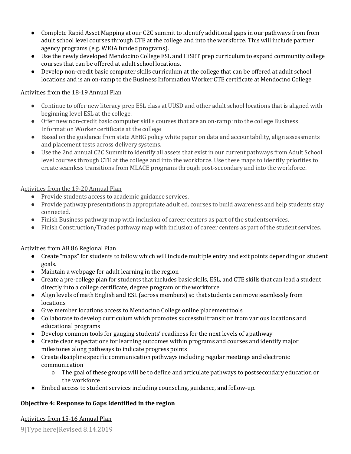- Complete Rapid Asset Mapping at our C2C summit to identify additional gaps in our pathways from from adult school level courses through CTE at the college and into the workforce. This will include partner agency programs (e.g. WIOA funded programs).
- Use the newly developed Mendocino College ESL and HiSET prep curriculum to expand community college courses that can be offered at adult school locations.
- Develop non-credit basic computer skills curriculum at the college that can be offered at adult school locations and is an on-ramp to the Business Information Worker CTE certificate at Mendocino College

## Activities from the 18-19 Annual Plan

- Continue to offer new literacy prep ESL class at UUSD and other adult school locations that is aligned with beginning level ESL at the college.
- Offer new non-credit basic computer skills courses that are an on-ramp into the college Business Information Worker certificate at the college
- Based on the guidance from state AEBG policy white paper on data and accountability, align assessments and placement tests across delivery systems.
- Use the 2nd annual C2C Summit to identify all assets that exist in our current pathways from Adult School level courses through CTE at the college and into the workforce. Use these maps to identify priorities to create seamless transitions from MLACE programs through post-secondary and into the workforce.

#### Activities from the 19-20 Annual Plan

- Provide students access to academic guidance services.
- Provide pathway presentations in appropriate adult ed. courses to build awareness and help students stay connected.
- Finish Business pathway map with inclusion of career centers as part of the studentservices.
- Finish Construction/Trades pathway map with inclusion of career centers as part of the student services.

## Activities from AB 86 Regional Plan

- Create "maps" for students to follow which will include multiple entry and exit points depending on student goals.
- Maintain a webpage for adult learning in the region
- Create a pre-college plan for students that includes basic skills, ESL, and CTE skills that can lead a student directly into a college certificate, degree program or the workforce
- Align levels of math English and ESL (across members) so that students can move seamlessly from locations
- Give member locations access to Mendocino College online placement tools
- Collaborate to develop curriculum which promotes successful transition from various locations and educational programs
- Develop common tools for gauging students' readiness for the next levels of a pathway
- Create clear expectations for learning outcomes within programs and courses and identify major milestones along pathways to indicate progress points
- Create discipline specific communication pathways including regular meetings and electronic communication
	- o The goal of these groups will be to define and articulate pathways to postsecondary education or the workforce
- Embed access to student services including counseling, guidance, andfollow-up.

## **Objective 4: Response to Gaps Identified in the region**

#### Activities from 15-16 Annual Plan

9[Type here]Revised 8.14.2019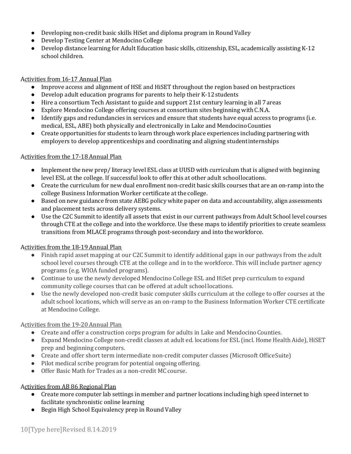- Developing non-credit basic skills HiSet and diploma program in Round Valley
- Develop Testing Center at Mendocino College
- Develop distance learning for Adult Education basic skills, citizenship, ESL, academically assisting K-12 school children.

## Activities from 16-17 Annual Plan

- Improve access and alignment of HSE and HiSET throughout the region based on bestpractices
- Develop adult education programs for parents to help their K-12students
- Hire a consortium Tech Assistant to guide and support 21st century learning in all 7areas
- Explore Mendocino College offering courses at consortium sites beginning with C.N.A.
- Identify gaps and redundancies in services and ensure that students have equal access to programs (i.e. medical, ESL, ABE) both physically and electronically in Lake and MendocinoCounties
- Create opportunities for students to learn through work place experiences including partnering with employers to develop apprenticeships and coordinating and aligning studentinternships

## Activities from the 17-18 Annual Plan

- Implement the new prep/ literacy level ESL class at UUSD with curriculum that is aligned with beginning level ESL at the college. If successful look to offer this at other adult schoollocations.
- Create the curriculum for new dual enrollment non-credit basic skills courses that are an on-ramp into the college Business Information Worker certificate at the college.
- Based on new guidance from state AEBG policy white paper on data and accountability, align assessments and placement tests across delivery systems.
- Use the C2C Summit to identify all assets that exist in our current pathways from Adult School level courses through CTE at the college and into the workforce. Use these maps to identify priorities to create seamless transitions from MLACE programs through post-secondary and into theworkforce.

## Activities from the 18-19 Annual Plan

- Finish rapid asset mapping at our C2C Summit to identify additional gaps in our pathways from the adult school level courses through CTE at the college and in to the workforce. This will include partner agency programs (e.g. WIOA funded programs).
- Continue to use the newly developed Mendocino College ESL and HiSet prep curriculum to expand community college courses that can be offered at adult school locations.
- Use the newly developed non-credit basic computer skills curriculum at the college to offer courses at the adult school locations, which will serve as an on-ramp to the Business Information Worker CTE certificate at Mendocino College.

## Activities from the 19-20 Annual Plan

- Create and offer a construction corps program for adults in Lake and Mendocino Counties.
- Expand Mendocino College non-credit classes at adult ed. locations for ESL (incl. Home Health Aide), HiSET prep and beginning computers.
- Create and offer short term intermediate non-credit computer classes (Microsoft Office Suite)
- Pilot medical scribe program for potential ongoing offering.
- Offer Basic Math for Trades as a non-credit MC course.

## Activities from AB 86 Regional Plan

- Create more computer lab settings in member and partner locations including high speed internet to facilitate synchronistic online learning
- Begin High School Equivalency prep in Round Valley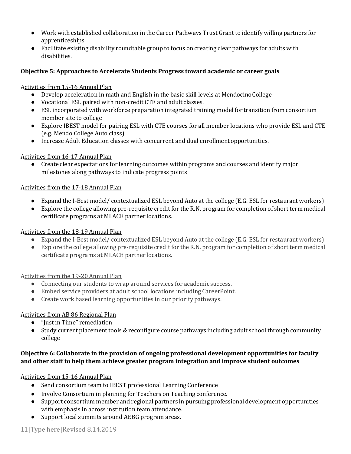- Work with established collaboration in the Career Pathways Trust Grant to identify willing partners for apprenticeships
- Facilitate existing disability roundtable group to focus on creating clear pathways for adults with disabilities.

## **Objective 5: Approaches to Accelerate Students Progress toward academic or career goals**

#### Activities from 15-16 Annual Plan

- Develop acceleration in math and English in the basic skill levels at MendocinoCollege
- Vocational ESL paired with non-credit CTE and adult classes.
- ESL incorporated with workforce preparation integrated training model for transition from consortium member site to college
- Explore IBEST model for pairing ESL with CTE courses for all member locations who provide ESL and CTE (e.g. Mendo College Auto class)
- Increase Adult Education classes with concurrent and dual enrollmentopportunities.

## Activities from 16-17 Annual Plan

● Create clear expectations for learning outcomes within programs and courses and identify major milestones along pathways to indicate progress points

#### Activities from the 17-18 Annual Plan

- Expand the I-Best model/ contextualized ESL beyond Auto at the college (E.G. ESL for restaurant workers)
- Explore the college allowing pre-requisite credit for the R.N. program for completion of short term medical certificate programs at MLACE partner locations.

## Activities from the 18-19 Annual Plan

- Expand the I-Best model/ contextualized ESL beyond Auto at the college (E.G. ESL for restaurant workers)
- Explore the college allowing pre-requisite credit for the R.N. program for completion of short term medical certificate programs at MLACE partner locations.

## Activities from the 19-20 Annual Plan

- Connecting our students to wrap around services for academic success.
- Embed service providers at adult school locations including CareerPoint.
- Create work based learning opportunities in our priority pathways.

## Activities from AB 86 Regional Plan

- "Just in Time" remediation
- Study current placement tools & reconfigure course pathways including adult school through community college

## **Objective 6: Collaborate in the provision of ongoing professional development opportunities for faculty and other staff to help them achieve greater program integration and improve student outcomes**

## Activities from 15-16 Annual Plan

- Send consortium team to IBEST professional Learning Conference
- Involve Consortium in planning for Teachers on Teaching conference.
- Support consortium member and regional partners in pursuing professional development opportunities with emphasis in across institution team attendance.
- Support local summits around AEBG program areas.

## 11[Type here]Revised 8.14.2019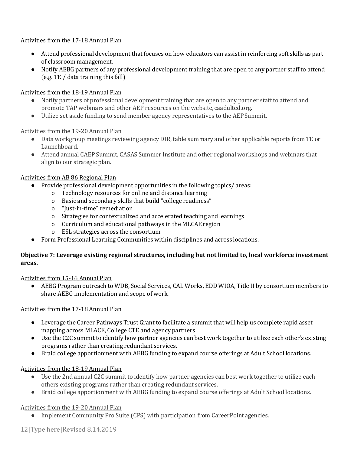#### Activities from the 17-18 Annual Plan

- Attend professional development that focuses on how educators can assist in reinforcing soft skills as part of classroom management.
- Notify AEBG partners of any professional development training that are open to any partner staff to attend (e.g. TE / data training this fall)

#### Activities from the 18-19 Annual Plan

- Notify partners of professional development training that are open to any partner staff to attend and promote TAP webinars and other AEP resources on the website, caadulted.org.
- Utilize set aside funding to send member agency representatives to the AEPSummit.

#### Activities from the 19-20 Annual Plan

- Data workgroup meetings reviewing agency DIR, table summary and other applicable reports from TE or Launchboard.
- Attend annual CAEP Summit, CASAS Summer Institute and other regional workshops and webinars that align to our strategic plan.

#### Activities from AB 86 Regional Plan

- Provide professional development opportunities in the following topics/areas:
	- o Technology resources for online and distance learning
	- o Basic and secondary skills that build "college readiness"
	- o "Just-in-time" remediation
	- o Strategies for contextualized and accelerated teaching and learnings
	- o Curriculum and educational pathways in the MLCAE region
	- o ESL strategies across the consortium
- Form Professional Learning Communities within disciplines and across locations.

#### **Objective 7: Leverage existing regional structures, including but not limited to, local workforce investment areas.**

#### Activities from 15-16 Annual Plan

● AEBG Program outreach to WDB, Social Services, CAL Works, EDD WIOA, Title II by consortium members to share AEBG implementation and scope of work.

#### Activities from the 17-18 Annual Plan

- Leverage the Career Pathways Trust Grant to facilitate a summit that will help us complete rapid asset mapping across MLACE, College CTE and agency partners
- Use the C2C summit to identify how partner agencies can best work together to utilize each other's existing programs rather than creating redundant services.
- Braid college apportionment with AEBG funding to expand course offerings at Adult School locations.

## Activities from the 18-19 Annual Plan

- Use the 2nd annual C2C summit to identify how partner agencies can best work together to utilize each others existing programs rather than creating redundant services.
- Braid college apportionment with AEBG funding to expand course offerings at Adult School locations.

#### Activities from the 19-20 Annual Plan

● Implement Community Pro Suite (CPS) with participation from CareerPoint agencies.

12[Type here]Revised 8.14.2019